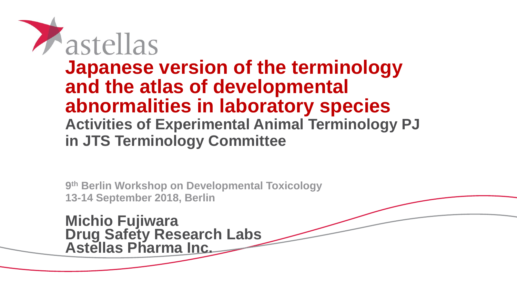

## **Japanese version of the terminology and the atlas of developmental abnormalities in laboratory species Activities of Experimental Animal Terminology PJ in JTS Terminology Committee**

**9 th Berlin Workshop on Developmental Toxicology 13-14 September 2018, Berlin**

**Michio Fujiwara Drug Safety Research Labs Astellas Pharma Inc.**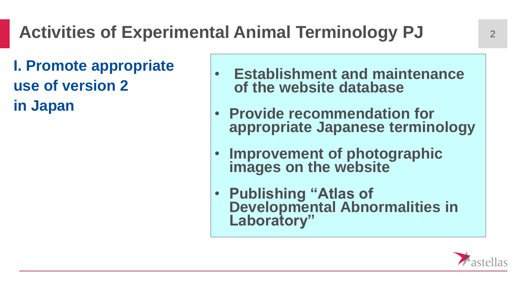**I. Promote appropriate use of version 2 in Japan**

- **Establishment and maintenance of the website database**
- **Provide recommendation for appropriate Japanese terminology**
- **Improvement of photographic images on the website**
- **Publishing "Atlas of Developmental Abnormalities in Laboratory"**

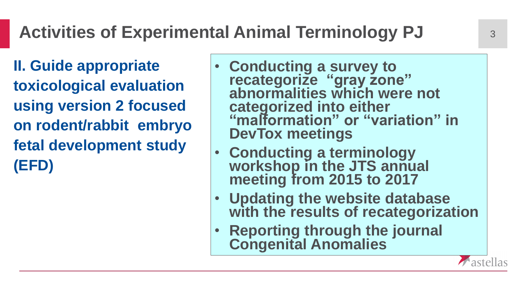# Activities of Experimental Animal Terminology PJ  $\frac{3}{3}$

**II. Guide appropriate toxicological evaluation using version 2 focused on rodent/rabbit embryo fetal development study (EFD)** 

- **Conducting a survey to recategorize "gray zone" abnormalities which were not categorized into either "malformation" or "variation" in DevTox meetings**
- **Conducting a terminology workshop in the JTS annual meeting from 2015 to 2017**
- **Updating the website database with the results of recategorization**
- **Reporting through the journal Congenital Anomalies**

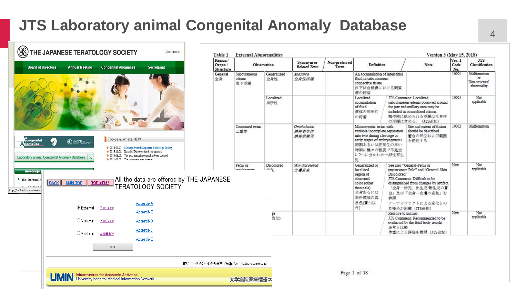### **JTS Laboratory animal Congenital Anomaly Database**

| <b>Board of Directors</b>                                                              |                                                    | <b>Annual Meeting</b>            | <b>Congenital Anomalies</b>                                                                                                                                                                                                               | <b>Secretariat</b>                                                                                           | Region/<br>Organ /<br><b>Structure</b> | <b>Observation</b>            |                    | Synonym or<br><b>Related Term</b> | Non-preferred<br>Term | <b>Definition</b>                                                                                                                                                              |                                | <b>Note</b>                                                                                                                                                                                            | Ver. 1<br>Code<br>No. | <b>JTS</b><br>Classification                               |
|----------------------------------------------------------------------------------------|----------------------------------------------------|----------------------------------|-------------------------------------------------------------------------------------------------------------------------------------------------------------------------------------------------------------------------------------------|--------------------------------------------------------------------------------------------------------------|----------------------------------------|-------------------------------|--------------------|-----------------------------------|-----------------------|--------------------------------------------------------------------------------------------------------------------------------------------------------------------------------|--------------------------------|--------------------------------------------------------------------------------------------------------------------------------------------------------------------------------------------------------|-----------------------|------------------------------------------------------------|
|                                                                                        |                                                    |                                  |                                                                                                                                                                                                                                           |                                                                                                              | <b>General</b><br>全身                   | Subcutaneous<br>edema<br>皮下浮腫 | Generalized<br>全身性 | Anasarca<br>全身性浮腫                 |                       | An accumulation of interstitial<br>fluid in subcutaneous<br>connective tissue<br>皮下結合組織における間質<br>液の貯溜                                                                          |                                |                                                                                                                                                                                                        | 10001                 | Malformation<br><b>OF</b><br>Non-structural<br>abnormality |
|                                                                                        |                                                    |                                  |                                                                                                                                                                                                                                           |                                                                                                              |                                        |                               | Localized<br>局所性   |                                   |                       | Localized<br>accumulation<br>of fluid<br>液体の局所性<br>の貯溜                                                                                                                         |                                | <b>JTS</b> Comment: Localized<br>subcutaneous edema observed around<br>the jaw and axillary area may be<br>included in generalized edema.<br>職や腋に認められる浮腫は全身性<br>の浮腫に含める。 (JTS追記)                       | 10005                 | Not<br>applicable                                          |
| <b>Longenital</b>                                                                      | S<br>Laboratory animal Congenital Anomaly Databese | <b>SEL THE JAPANESE</b>          | Topics & Whats NEW<br>> 2018.03.27 Message from the Japanese Teratology Society<br>> 2016.11.01. Board of Directors has been updated.<br>> 2016.08.01. The next annual meeting has been updated.<br>2011.03.01. The homepage was renewed. |                                                                                                              |                                        | Conjoined twins<br>二重体        |                    | Omphalosite<br>牌带寄生体<br>牌带荣美児     |                       | Monozvgotic twins with<br>variable incomplete separation<br>into two during cleavage or<br>early stages of embryogenesis<br>卵割あるいは胚発生の早い<br>時期に種々の程度で不完全<br>に2つに分かれた一卵性双生<br>児 |                                | Site and extent of fusion<br>should be described<br>癒合の部位および範囲<br>を記述する                                                                                                                                | 10002                 | Malformation                                               |
| meetings<br>The 58th Annual N<br>Detail Tale 22.2012<br>http://onlinelibrary.wiley.con | <b>BACK</b>                                        | <b>UMIN TOP</b><br>◉ External    | <b>TOP MENU</b><br>Glossary                                                                                                                                                                                                               | $\mathsf A\mathsf I\mathsf I$ the data are offered by THE JAPANESE<br><b>TERATOLOGY SOCIETY</b><br>AppendixA |                                        | Fetus or                      | Discolored<br>本名   | Skin discolored<br>皮膚変色           |                       | Generalized or<br>localized<br>region of<br>abnormal<br>color (other<br>than pale)<br>全身あるいは<br>局所領域の異<br>常色(菁白以                                                               | Discolored <sup>19</sup><br>参照 | See also "General-Fetus or<br>pup/neonate Pale" and "General-Skin<br>JTS Comment: Difficult to be<br>distinguished from changes by artifact.<br>「全身ー胎児、出生児/新生児の蒼<br>白」及び「全身ー皮膚の変色」を<br>アーティファクトによる変化との | New                   | Not<br>applicable                                          |
|                                                                                        |                                                    | OVisceral<br>$\bigcirc$ Skeletal | Glossary                                                                                                                                                                                                                                  | AppendixB<br>Appendix <sub>C</sub><br>AppendixD                                                              |                                        |                               | ge<br>200          |                                   |                       | 外)                                                                                                                                                                             | Relative to normal<br>正常と比較    | 見極めが困難 (JTS追記)<br>JTS Comment: Recommended to be<br>evaluated by the fetal body weight<br>体重による評価を推奨 (JTS追記)                                                                                           | New                   | Not<br>applicable                                          |
|                                                                                        |                                                    |                                  | Glossary<br>next                                                                                                                                                                                                                          | Appendix <sub>E</sub>                                                                                        |                                        |                               |                    |                                   |                       |                                                                                                                                                                                |                                |                                                                                                                                                                                                        |                       |                                                            |
|                                                                                        |                                                    |                                  |                                                                                                                                                                                                                                           |                                                                                                              | 問い合わせ先:日本先天異常学会事務局 its@ac-square.co.jp |                               |                    |                                   |                       |                                                                                                                                                                                |                                |                                                                                                                                                                                                        |                       |                                                            |
|                                                                                        |                                                    |                                  | <b>UMIN</b> Infrastructure for Academic Activities<br>UMIN University hospital Medical Information Network                                                                                                                                |                                                                                                              |                                        | 大学病院医療情報ネ                     |                    |                                   |                       | Page 1 of 18                                                                                                                                                                   |                                |                                                                                                                                                                                                        |                       |                                                            |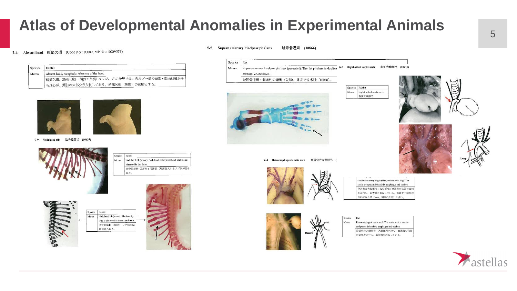### **Atlas of Developmental Anomalies in Experimental Animals**

### 2-4 Absent head 頭部欠損 (Code No.: 10009, MP No.: 0009579)

| Species | Rabbit                                       |  |  |  |  |  |  |  |  |  |
|---------|----------------------------------------------|--|--|--|--|--|--|--|--|--|
| Memo    | Absent head, Acephaly: Absence of the head   |  |  |  |  |  |  |  |  |  |
|         | 「頭部欠損、無頭(症):頭部が欠損している。左の胎児では、舌など一部の頭部・顔面組織がみ |  |  |  |  |  |  |  |  |  |
|         | 「られるが、頭部の大部分が欠損しており、頭部欠損(無頭)の範疇とする。          |  |  |  |  |  |  |  |  |  |



7-9 Nodulated rib 肋骨結節状 (10633)



| Species | Rabbit                                                                                  |  |  |  |  |  |  |
|---------|-----------------------------------------------------------------------------------------|--|--|--|--|--|--|
| Memo    | Nodulated rib (arrow): Both focal enlargement and knobby are<br>observed in this fetus. |  |  |  |  |  |  |
|         | 肋骨結節状 (矢印):円形状 (局所肥大) とノブ状が見ら<br>れる。                                                    |  |  |  |  |  |  |





### 5-5 Supernumerary hindpaw phalanx 趾節骨過剰 (10866)

Species Rat

Right-sided aortic arch 右側大動脈弓 (10211)  $6 - 5$ Memo Supernumerary hindpaw phalanx (pre-axial): The 1st phalanx is duplical

external observation.

批節骨過剰: 輔前性の過剰 (矢印)。外表では多趾 (10088)。



 $6 - 4$ 

Species Rabbit Memo Right-sided aortic arch 右側大動脈弓





Retroesophageal aortic arch 食道背方大動脈弓 (1

subclavian artery origin (New, red arrow in Fig): The ortic arch passes behind the esophagus and trachea. 食道背方大動脈弓:大動脈弓が食道及び気管の背側 を走行し、血管輪を形成している。右鎖骨下動脈起 始部位置異常 (New、図中の矢印) を伴う

**Species** Rat Memo Retroesophageal aortic arch: The aortic arch is narrow and passes behind the esophagus and trachea. 食道背方大動脈弓:大動脈弓が細く、食道及び気管 の背側を走行し、血管輪を形成している。